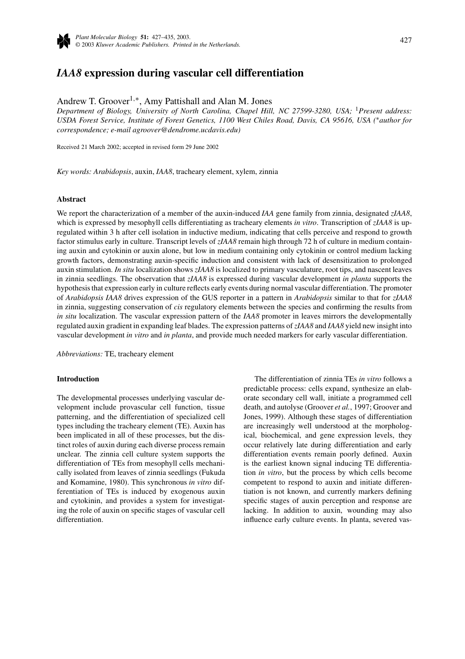

# *IAA8* **expression during vascular cell differentiation**

Andrew T. Groover1*,*∗, Amy Pattishall and Alan M. Jones

*Department of Biology, University of North Carolina, Chapel Hill, NC 27599-3280, USA;* <sup>1</sup>*Present address: USDA Forest Service, Institute of Forest Genetics, 1100 West Chiles Road, Davis, CA 95616, USA (*∗*author for correspondence; e-mail agroover@dendrome.ucdavis.edu)*

Received 21 March 2002; accepted in revised form 29 June 2002

*Key words: Arabidopsis*, auxin, *IAA8*, tracheary element, xylem, zinnia

#### **Abstract**

We report the characterization of a member of the auxin-induced *IAA* gene family from zinnia, designated *zIAA8*, which is expressed by mesophyll cells differentiating as tracheary elements *in vitro*. Transcription of *zIAA8* is upregulated within 3 h after cell isolation in inductive medium, indicating that cells perceive and respond to growth factor stimulus early in culture. Transcript levels of *zIAA8* remain high through 72 h of culture in medium containing auxin and cytokinin or auxin alone, but low in medium containing only cytokinin or control medium lacking growth factors, demonstrating auxin-specific induction and consistent with lack of desensitization to prolonged auxin stimulation. *In situ* localization shows *zIAA8* is localized to primary vasculature, root tips, and nascent leaves in zinnia seedlings. The observation that *zIAA8* is expressed during vascular development *in planta* supports the hypothesis that expression early in culture reflects early events during normal vascular differentiation. The promoter of *Arabidopsis IAA8* drives expression of the GUS reporter in a pattern in *Arabidopsis* similar to that for *zIAA8* in zinnia, suggesting conservation of *cis* regulatory elements between the species and confirming the results from *in situ* localization. The vascular expression pattern of the *IAA8* promoter in leaves mirrors the developmentally regulated auxin gradient in expanding leaf blades. The expression patterns of *zIAA8* and *IAA8* yield new insight into vascular development *in vitro* and *in planta*, and provide much needed markers for early vascular differentiation.

*Abbreviations:* TE, tracheary element

#### **Introduction**

The developmental processes underlying vascular development include provascular cell function, tissue patterning, and the differentiation of specialized cell types including the tracheary element (TE). Auxin has been implicated in all of these processes, but the distinct roles of auxin during each diverse process remain unclear. The zinnia cell culture system supports the differentiation of TEs from mesophyll cells mechanically isolated from leaves of zinnia seedlings (Fukuda and Komamine, 1980). This synchronous *in vitro* differentiation of TEs is induced by exogenous auxin and cytokinin, and provides a system for investigating the role of auxin on specific stages of vascular cell differentiation.

The differentiation of zinnia TEs *in vitro* follows a predictable process: cells expand, synthesize an elaborate secondary cell wall, initiate a programmed cell death, and autolyse (Groover *et al.*, 1997; Groover and Jones, 1999). Although these stages of differentiation are increasingly well understood at the morphological, biochemical, and gene expression levels, they occur relatively late during differentiation and early differentiation events remain poorly defined. Auxin is the earliest known signal inducing TE differentiation *in vitro*, but the process by which cells become competent to respond to auxin and initiate differentiation is not known, and currently markers defining specific stages of auxin perception and response are lacking. In addition to auxin, wounding may also influence early culture events. In planta, severed vas-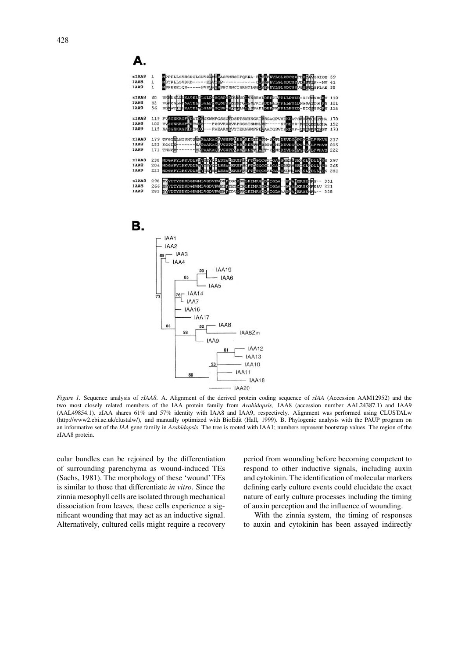





*Figure 1.* Sequence analysis of *zIAA8*. A. Alignment of the derived protein coding sequence of *zIAA* (Accession AAM12952) and the two most closely related members of the IAA protein family from *Arabidopsis,* IAA8 (accession number AAL24387.1) and IAA9 (AAL49854.1). zIAA shares 61% and 57% identity with IAA8 and IAA9, respectively. Alignment was performed using CLUSTALw (http://www2.ebi.ac.uk/clustalw/), and manually optimized with BioEdit (Hall, 1999). B. Phylogenic analysis with the PAUP program on an informative set of the *IAA* gene family in *Arabidopsis*. The tree is rooted with IAA1; numbers represent bootstrap values. The region of the zIAA8 protein.

cular bundles can be rejoined by the differentiation of surrounding parenchyma as wound-induced TEs (Sachs, 1981). The morphology of these 'wound' TEs is similar to those that differentiate *in vitro*. Since the zinnia mesophyll cells are isolated through mechanical dissociation from leaves, these cells experience a significant wounding that may act as an inductive signal. Alternatively, cultured cells might require a recovery

period from wounding before becoming competent to respond to other inductive signals, including auxin and cytokinin. The identification of molecular markers defining early culture events could elucidate the exact nature of early culture processes including the timing of auxin perception and the influence of wounding.

With the zinnia system, the timing of responses to auxin and cytokinin has been assayed indirectly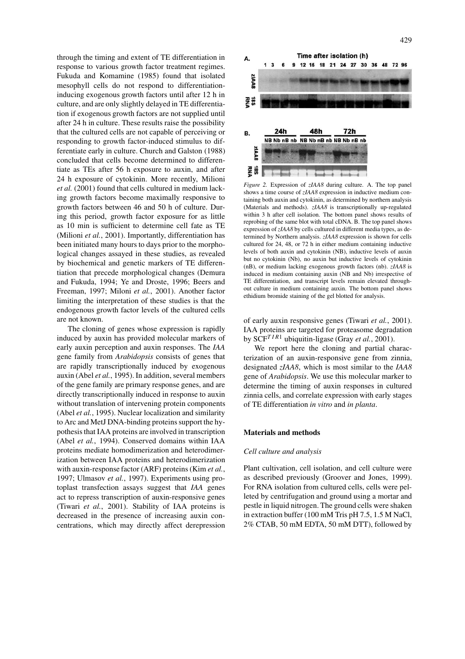through the timing and extent of TE differentiation in response to various growth factor treatment regimes. Fukuda and Komamine (1985) found that isolated mesophyll cells do not respond to differentiationinducing exogenous growth factors until after 12 h in culture, and are only slightly delayed in TE differentiation if exogenous growth factors are not supplied until after 24 h in culture. These results raise the possibility that the cultured cells are not capable of perceiving or responding to growth factor-induced stimulus to differentiate early in culture. Church and Galston (1988) concluded that cells become determined to differentiate as TEs after 56 h exposure to auxin, and after 24 h exposure of cytokinin. More recently, Milioni *et al.* (2001) found that cells cultured in medium lacking growth factors become maximally responsive to growth factors between 46 and 50 h of culture. During this period, growth factor exposure for as little as 10 min is sufficient to determine cell fate as TE (Milioni *et al.*, 2001). Importantly, differentiation has been initiated many hours to days prior to the morphological changes assayed in these studies, as revealed by biochemical and genetic markers of TE differentiation that precede morphological changes (Demura and Fukuda, 1994; Ye and Droste, 1996; Beers and Freeman, 1997; Miloni *et al.*, 2001). Another factor limiting the interpretation of these studies is that the endogenous growth factor levels of the cultured cells are not known.

The cloning of genes whose expression is rapidly induced by auxin has provided molecular markers of early auxin perception and auxin responses. The *IAA* gene family from *Arabidopsis* consists of genes that are rapidly transcriptionally induced by exogenous auxin (Abel *et al.*, 1995). In addition, several members of the gene family are primary response genes, and are directly transcriptionally induced in response to auxin without translation of intervening protein components (Abel *et al.*, 1995). Nuclear localization and similarity to Arc and MetJ DNA-binding proteins support the hypothesis that IAA proteins are involved in transcription (Abel *et al.*, 1994). Conserved domains within IAA proteins mediate homodimerization and heterodimerization between IAA proteins and heterodimerization with auxin-response factor (ARF) proteins (Kim *et al.*, 1997; Ulmasov *et al.*, 1997). Experiments using protoplast transfection assays suggest that *IAA* genes act to repress transcription of auxin-responsive genes (Tiwari *et al.*, 2001). Stability of IAA proteins is decreased in the presence of increasing auxin concentrations, which may directly affect derepression



*Figure 2.* Expression of *zIAA8* during culture. A. The top panel shows a time course of *zIAA8* expression in inductive medium containing both auxin and cytokinin, as determined by northern analysis (Materials and methods). *zIAA8* is transcriptionally up-regulated within 3 h after cell isolation. The bottom panel shows results of reprobing of the same blot with total cDNA. B. The top panel shows expression of*zIAA8* by cells cultured in different media types, as determined by Northern analysis. *zIAA8* expression is shown for cells cultured for 24, 48, or 72 h in either medium containing inductive levels of both auxin and cytokinin (NB), inductive levels of auxin but no cytokinin (Nb), no auxin but inductive levels of cytokinin (nB), or medium lacking exogenous growth factors (nb). *zIAA8* is induced in medium containing auxin (NB and Nb) irrespective of TE differentiation, and transcript levels remain elevated throughout culture in medium containing auxin. The bottom panel shows ethidium bromide staining of the gel blotted for analysis.

of early auxin responsive genes (Tiwari *et al.*, 2001). IAA proteins are targeted for proteasome degradation by SCF*TIR*<sup>1</sup> ubiquitin-ligase (Gray *et al.*, 2001).

We report here the cloning and partial characterization of an auxin-responsive gene from zinnia, designated *zIAA8*, which is most similar to the *IAA8* gene of *Arabidopsis*. We use this molecular marker to determine the timing of auxin responses in cultured zinnia cells, and correlate expression with early stages of TE differentiation *in vitro* and *in planta*.

#### **Materials and methods**

## *Cell culture and analysis*

Plant cultivation, cell isolation, and cell culture were as described previously (Groover and Jones, 1999). For RNA isolation from cultured cells, cells were pelleted by centrifugation and ground using a mortar and pestle in liquid nitrogen. The ground cells were shaken in extraction buffer (100 mM Tris pH 7.5, 1.5 M NaCl, 2% CTAB, 50 mM EDTA, 50 mM DTT), followed by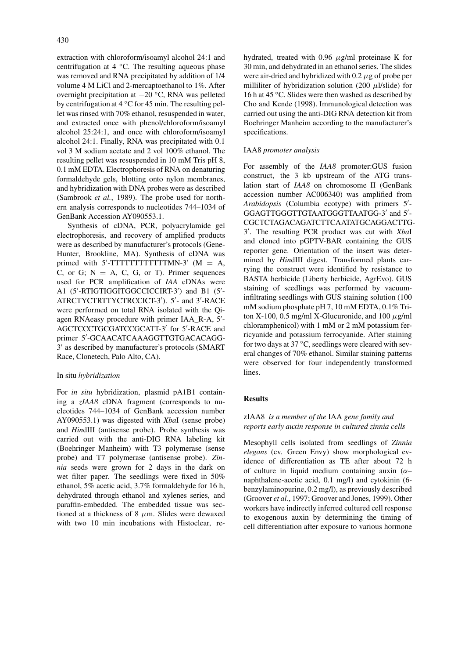extraction with chloroform/isoamyl alcohol 24:1 and centrifugation at 4 ◦C. The resulting aqueous phase was removed and RNA precipitated by addition of 1/4 volume 4 M LiCl and 2-mercaptoethanol to 1%. After overnight precipitation at −20 ◦C, RNA was pelleted by centrifugation at 4 ◦C for 45 min. The resulting pellet was rinsed with 70% ethanol, resuspended in water, and extracted once with phenol/chloroform/isoamyl alcohol 25:24:1, and once with chloroform/isoamyl alcohol 24:1. Finally, RNA was precipitated with 0.1 vol 3 M sodium acetate and 2 vol 100% ethanol. The resulting pellet was resuspended in 10 mM Tris pH 8, 0.1 mM EDTA. Electrophoresis of RNA on denaturing formaldehyde gels, blotting onto nylon membranes, and hybridization with DNA probes were as described (Sambrook *et al.*, 1989). The probe used for northern analysis corresponds to nucleotides 744–1034 of GenBank Accession AY090553.1.

Synthesis of cDNA, PCR, polyacrylamide gel electrophoresis, and recovery of amplified products were as described by manufacturer's protocols (Gene-Hunter, Brookline, MA). Synthesis of cDNA was primed with  $5'$ -TTTTTTTTTTTTMN-3' (M = A, C, or G;  $N = A$ , C, G, or T). Primer sequences used for PCR amplification of *IAA* cDNAs were A1 (5 -RTIGTIGGITGGCCICCIRT-3 ) and B1 (5 - ATRCTYCTRTTYCTRCCICT-3 ). 5 - and 3 -RACE were performed on total RNA isolated with the Qiagen RNAeasy procedure with primer IAA\_R-A, 5 - AGCTCCCTGCGATCCGCATT-3' for 5'-RACE and primer 5 -GCAACATCAAAGGTTGTGACACAGG-3' as described by manufacturer's protocols (SMART) Race, Clonetech, Palo Alto, CA).

## In situ *hybridization*

For *in situ* hybridization, plasmid pA1B1 containing a *zIAA8* cDNA fragment (corresponds to nucleotides 744–1034 of GenBank accession number AY090553.1) was digested with *Xba*I (sense probe) and *Hin*dIII (antisense probe). Probe synthesis was carried out with the anti-DIG RNA labeling kit (Boehringer Manheim) with T3 polymerase (sense probe) and T7 polymerase (antisense probe). *Zinnia* seeds were grown for 2 days in the dark on wet filter paper. The seedlings were fixed in 50% ethanol, 5% acetic acid, 3.7% formaldehyde for 16 h, dehydrated through ethanol and xylenes series, and paraffin-embedded. The embedded tissue was sectioned at a thickness of 8 *µ*m. Slides were dewaxed with two 10 min incubations with Histoclear, rehydrated, treated with 0.96 *µ*g/ml proteinase K for 30 min, and dehydrated in an ethanol series. The slides were air-dried and hybridized with 0.2 *µ*g of probe per milliliter of hybridization solution (200 *µ*l/slide) for 16 h at 45 ◦C. Slides were then washed as described by Cho and Kende (1998). Immunological detection was carried out using the anti-DIG RNA detection kit from Boehringer Manheim according to the manufacturer's specifications.

## IAA8 *promoter analysis*

For assembly of the *IAA8* promoter:GUS fusion construct, the 3 kb upstream of the ATG translation start of *IAA8* on chromosome II (GenBank accession number AC006340) was amplified from *Arabidopsis* (Columbia ecotype) with primers 5 - GGAGTTGGGTTGTAATGGGTTAATGG-3' and 5'-CGCTCTAGACAGATCTTCAATATGCAGGACTTG-3 . The resulting PCR product was cut with *Xba*I and cloned into pGPTV-BAR containing the GUS reporter gene. Orientation of the insert was determined by *Hin*dIII digest. Transformed plants carrying the construct were identified by resistance to BASTA herbicide (Liberty herbicide, AgrEvo). GUS staining of seedlings was performed by vacuuminfiltrating seedlings with GUS staining solution (100 mM sodium phosphate pH 7, 10 mM EDTA, 0.1% Triton X-100, 0.5 mg/ml X-Glucuronide, and  $100 \mu$ g/ml chloramphenicol) with 1 mM or 2 mM potassium ferricyanide and potassium ferrocyanide. After staining for two days at 37 °C, seedlings were cleared with several changes of 70% ethanol. Similar staining patterns were observed for four independently transformed lines.

## **Results**

# zIAA8 *is a member of the* IAA *gene family and reports early auxin response in cultured zinnia cells*

Mesophyll cells isolated from seedlings of *Zinnia elegans* (cv. Green Envy) show morphological evidence of differentiation as TE after about 72 h of culture in liquid medium containing auxin (*α*– naphthalene-acetic acid, 0.1 mg/l) and cytokinin (6 benzylaminopurine, 0.2 mg/l), as previously described (Groover *et al.*, 1997; Groover and Jones, 1999). Other workers have indirectly inferred cultured cell response to exogenous auxin by determining the timing of cell differentiation after exposure to various hormone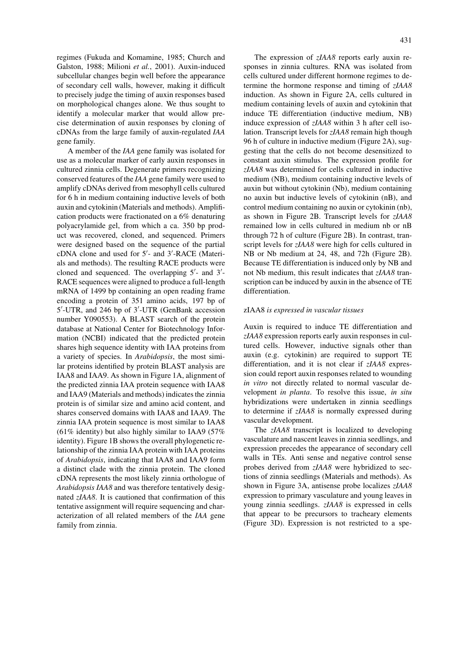regimes (Fukuda and Komamine, 1985; Church and Galston, 1988; Milioni *et al.*, 2001). Auxin-induced subcellular changes begin well before the appearance of secondary cell walls, however, making it difficult to precisely judge the timing of auxin responses based on morphological changes alone. We thus sought to identify a molecular marker that would allow precise determination of auxin responses by cloning of cDNAs from the large family of auxin-regulated *IAA* gene family.

A member of the *IAA* gene family was isolated for use as a molecular marker of early auxin responses in cultured zinnia cells. Degenerate primers recognizing conserved features of the *IAA* gene family were used to amplify cDNAs derived from mesophyll cells cultured for 6 h in medium containing inductive levels of both auxin and cytokinin (Materials and methods). Amplification products were fractionated on a 6% denaturing polyacrylamide gel, from which a ca. 350 bp product was recovered, cloned, and sequenced. Primers were designed based on the sequence of the partial cDNA clone and used for 5 - and 3 -RACE (Materials and methods). The resulting RACE products were cloned and sequenced. The overlapping  $5'$ - and  $3'$ -RACE sequences were aligned to produce a full-length mRNA of 1499 bp containing an open reading frame encoding a protein of 351 amino acids, 197 bp of 5 -UTR, and 246 bp of 3 -UTR (GenBank accession number Y090553). A BLAST search of the protein database at National Center for Biotechnology Information (NCBI) indicated that the predicted protein shares high sequence identity with IAA proteins from a variety of species. In *Arabidopsis*, the most similar proteins identified by protein BLAST analysis are IAA8 and IAA9. As shown in Figure 1A, alignment of the predicted zinnia IAA protein sequence with IAA8 and IAA9 (Materials and methods) indicates the zinnia protein is of similar size and amino acid content, and shares conserved domains with IAA8 and IAA9. The zinnia IAA protein sequence is most similar to IAA8 (61% identity) but also highly similar to IAA9 (57% identity). Figure 1B shows the overall phylogenetic relationship of the zinnia IAA protein with IAA proteins of *Arabidopsis*, indicating that IAA8 and IAA9 form a distinct clade with the zinnia protein. The cloned cDNA represents the most likely zinnia orthologue of *Arabidopsis IAA8* and was therefore tentatively designated *zIAA8*. It is cautioned that confirmation of this tentative assignment will require sequencing and characterization of all related members of the *IAA* gene family from zinnia.

The expression of *zIAA8* reports early auxin responses in zinnia cultures. RNA was isolated from cells cultured under different hormone regimes to determine the hormone response and timing of *zIAA8* induction. As shown in Figure 2A, cells cultured in medium containing levels of auxin and cytokinin that induce TE differentiation (inductive medium, NB) induce expression of *zIAA8* within 3 h after cell isolation. Transcript levels for *zIAA8* remain high though 96 h of culture in inductive medium (Figure 2A), suggesting that the cells do not become desensitized to constant auxin stimulus. The expression profile for *zIAA8* was determined for cells cultured in inductive medium (NB), medium containing inductive levels of auxin but without cytokinin (Nb), medium containing no auxin but inductive levels of cytokinin (nB), and control medium containing no auxin or cytokinin (nb), as shown in Figure 2B. Transcript levels for *zIAA8* remained low in cells cultured in medium nb or nB through 72 h of culture (Figure 2B). In contrast, transcript levels for *zIAA8* were high for cells cultured in NB or Nb medium at 24, 48, and 72h (Figure 2B). Because TE differentiation is induced only by NB and not Nb medium, this result indicates that *zIAA8* transcription can be induced by auxin in the absence of TE differentiation.

# zIAA8 *is expressed in vascular tissues*

Auxin is required to induce TE differentiation and *zIAA8* expression reports early auxin responses in cultured cells. However, inductive signals other than auxin (e.g. cytokinin) are required to support TE differentiation, and it is not clear if *zIAA8* expression could report auxin responses related to wounding *in vitro* not directly related to normal vascular development *in planta*. To resolve this issue, *in situ* hybridizations were undertaken in zinnia seedlings to determine if *zIAA8* is normally expressed during vascular development.

The *zIAA8* transcript is localized to developing vasculature and nascent leaves in zinnia seedlings, and expression precedes the appearance of secondary cell walls in TEs. Anti sense and negative control sense probes derived from *zIAA8* were hybridized to sections of zinnia seedlings (Materials and methods). As shown in Figure 3A, antisense probe localizes *zIAA8* expression to primary vasculature and young leaves in young zinnia seedlings. *zIAA8* is expressed in cells that appear to be precursors to tracheary elements (Figure 3D). Expression is not restricted to a spe-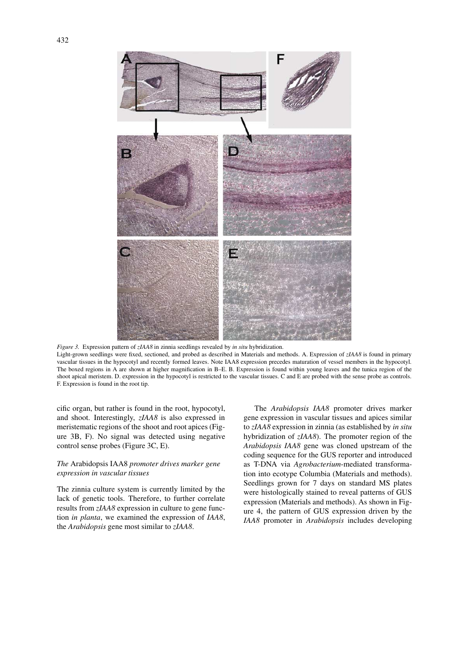

*Figure 3.* Expression pattern of *zIAA8* in zinnia seedlings revealed by *in situ* hybridization. Light-grown seedlings were fixed, sectioned, and probed as described in Materials and methods. A. Expression of *zIAA8* is found in primary vascular tissues in the hypocotyl and recently formed leaves. Note IAA8 expression precedes maturation of vessel members in the hypocotyl. The boxed regions in A are shown at higher magnification in B–E. B. Expression is found within young leaves and the tunica region of the shoot apical meristem. D. expression in the hypocotyl is restricted to the vascular tissues. C and E are probed with the sense probe as controls. F. Expression is found in the root tip.

cific organ, but rather is found in the root, hypocotyl, and shoot. Interestingly, *zIAA8* is also expressed in meristematic regions of the shoot and root apices (Figure 3B, F). No signal was detected using negative control sense probes (Figure 3C, E).

# *The* Arabidopsis IAA8 *promoter drives marker gene expression in vascular tissues*

The zinnia culture system is currently limited by the lack of genetic tools. Therefore, to further correlate results from *zIAA8* expression in culture to gene function *in planta*, we examined the expression of *IAA8*, the *Arabidopsis* gene most similar to *zIAA8*.

The *Arabidopsis IAA8* promoter drives marker gene expression in vascular tissues and apices similar to *zIAA8* expression in zinnia (as established by *in situ* hybridization of *zIAA8*). The promoter region of the *Arabidopsis IAA8* gene was cloned upstream of the coding sequence for the GUS reporter and introduced as T-DNA via *Agrobacterium*-mediated transformation into ecotype Columbia (Materials and methods). Seedlings grown for 7 days on standard MS plates were histologically stained to reveal patterns of GUS expression (Materials and methods). As shown in Figure 4, the pattern of GUS expression driven by the *IAA8* promoter in *Arabidopsis* includes developing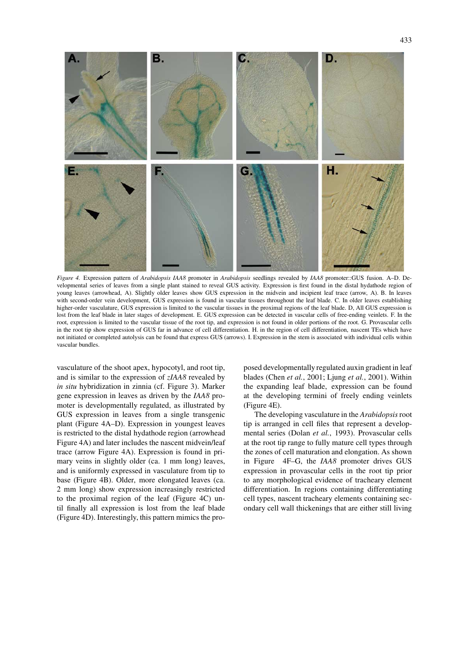

*Figure 4.* Expression pattern of *Arabidopsis IAA8* promoter in *Arabidopsis* seedlings revealed by *IAA8* promoter::GUS fusion. A–D. Developmental series of leaves from a single plant stained to reveal GUS activity. Expression is first found in the distal hydathode region of young leaves (arrowhead, A). Slightly older leaves show GUS expression in the midvein and incipient leaf trace (arrow, A). B. In leaves with second-order vein development, GUS expression is found in vascular tissues throughout the leaf blade. C. In older leaves establishing higher-order vasculature, GUS expression is limited to the vascular tissues in the proximal regions of the leaf blade. D, All GUS expression is lost from the leaf blade in later stages of development. E. GUS expression can be detected in vascular cells of free-ending veinlets. F. In the root, expression is limited to the vascular tissue of the root tip, and expression is not found in older portions of the root. G. Provascular cells in the root tip show expression of GUS far in advance of cell differentiation. H. in the region of cell differentiation, nascent TEs which have not initiated or completed autolysis can be found that express GUS (arrows). I. Expression in the stem is associated with individual cells within vascular bundles.

vasculature of the shoot apex, hypocotyl, and root tip, and is similar to the expression of *zIAA8* revealed by *in situ* hybridization in zinnia (cf. Figure 3). Marker gene expression in leaves as driven by the *IAA8* promoter is developmentally regulated, as illustrated by GUS expression in leaves from a single transgenic plant (Figure 4A–D). Expression in youngest leaves is restricted to the distal hydathode region (arrowhead Figure 4A) and later includes the nascent midvein/leaf trace (arrow Figure 4A). Expression is found in primary veins in slightly older (ca. 1 mm long) leaves, and is uniformly expressed in vasculature from tip to base (Figure 4B). Older, more elongated leaves (ca. 2 mm long) show expression increasingly restricted to the proximal region of the leaf (Figure 4C) until finally all expression is lost from the leaf blade (Figure 4D). Interestingly, this pattern mimics the proposed developmentally regulated auxin gradient in leaf blades (Chen *et al.*, 2001; Ljung *et al.*, 2001). Within the expanding leaf blade, expression can be found at the developing termini of freely ending veinlets (Figure 4E).

The developing vasculature in the *Arabidopsis*root tip is arranged in cell files that represent a developmental series (Dolan *et al.*, 1993). Provascular cells at the root tip range to fully mature cell types through the zones of cell maturation and elongation. As shown in Figure 4F–G, the *IAA8* promoter drives GUS expression in provascular cells in the root tip prior to any morphological evidence of tracheary element differentiation. In regions containing differentiating cell types, nascent tracheary elements containing secondary cell wall thickenings that are either still living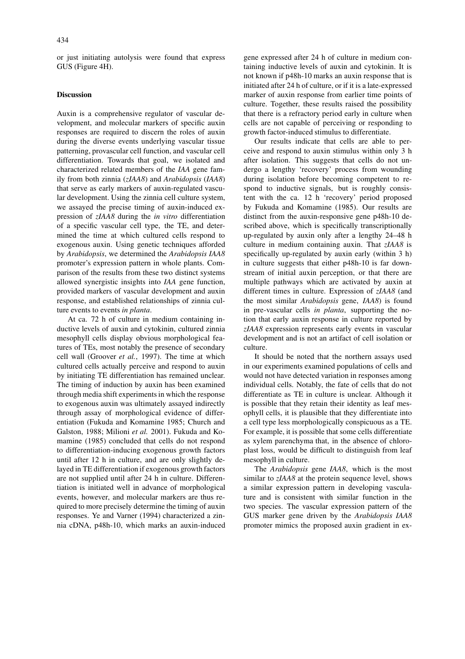or just initiating autolysis were found that express GUS (Figure 4H).

## **Discussion**

Auxin is a comprehensive regulator of vascular development, and molecular markers of specific auxin responses are required to discern the roles of auxin during the diverse events underlying vascular tissue patterning, provascular cell function, and vascular cell differentiation. Towards that goal, we isolated and characterized related members of the *IAA* gene family from both zinnia (*zIAA8*) and *Arabidopsis* (*IAA8*) that serve as early markers of auxin-regulated vascular development. Using the zinnia cell culture system, we assayed the precise timing of auxin-induced expression of *zIAA8* during the *in vitro* differentiation of a specific vascular cell type, the TE, and determined the time at which cultured cells respond to exogenous auxin. Using genetic techniques afforded by *Arabidopsis*, we determined the *Arabidopsis IAA8* promoter's expression pattern in whole plants. Comparison of the results from these two distinct systems allowed synergistic insights into *IAA* gene function, provided markers of vascular development and auxin response, and established relationships of zinnia culture events to events *in planta*.

At ca. 72 h of culture in medium containing inductive levels of auxin and cytokinin, cultured zinnia mesophyll cells display obvious morphological features of TEs, most notably the presence of secondary cell wall (Groover *et al.*, 1997). The time at which cultured cells actually perceive and respond to auxin by initiating TE differentiation has remained unclear. The timing of induction by auxin has been examined through media shift experiments in which the response to exogenous auxin was ultimately assayed indirectly through assay of morphological evidence of differentiation (Fukuda and Komamine 1985; Church and Galston, 1988; Milioni *et al.* 2001). Fukuda and Komamine (1985) concluded that cells do not respond to differentiation-inducing exogenous growth factors until after 12 h in culture, and are only slightly delayed in TE differentiation if exogenous growth factors are not supplied until after 24 h in culture. Differentiation is initiated well in advance of morphological events, however, and molecular markers are thus required to more precisely determine the timing of auxin responses. Ye and Varner (1994) characterized a zinnia cDNA, p48h-10, which marks an auxin-induced gene expressed after 24 h of culture in medium containing inductive levels of auxin and cytokinin. It is not known if p48h-10 marks an auxin response that is initiated after 24 h of culture, or if it is a late-expressed marker of auxin response from earlier time points of culture. Together, these results raised the possibility that there is a refractory period early in culture when cells are not capable of perceiving or responding to growth factor-induced stimulus to differentiate.

Our results indicate that cells are able to perceive and respond to auxin stimulus within only 3 h after isolation. This suggests that cells do not undergo a lengthy 'recovery' process from wounding during isolation before becoming competent to respond to inductive signals, but is roughly consistent with the ca. 12 h 'recovery' period proposed by Fukuda and Komamine (1985). Our results are distinct from the auxin-responsive gene p48h-10 described above, which is specifically transcriptionally up-regulated by auxin only after a lengthy 24–48 h culture in medium containing auxin. That *zIAA8* is specifically up-regulated by auxin early (within 3 h) in culture suggests that either p48h-10 is far downstream of initial auxin perception, or that there are multiple pathways which are activated by auxin at different times in culture. Expression of *zIAA8* (and the most similar *Arabidopsis* gene, *IAA8*) is found in pre-vascular cells *in planta*, supporting the notion that early auxin response in culture reported by *zIAA8* expression represents early events in vascular development and is not an artifact of cell isolation or culture.

It should be noted that the northern assays used in our experiments examined populations of cells and would not have detected variation in responses among individual cells. Notably, the fate of cells that do not differentiate as TE in culture is unclear. Although it is possible that they retain their identity as leaf mesophyll cells, it is plausible that they differentiate into a cell type less morphologically conspicuous as a TE. For example, it is possible that some cells differentiate as xylem parenchyma that, in the absence of chloroplast loss, would be difficult to distinguish from leaf mesophyll in culture.

The *Arabidopsis* gene *IAA8*, which is the most similar to *zIAA8* at the protein sequence level, shows a similar expression pattern in developing vasculature and is consistent with similar function in the two species. The vascular expression pattern of the GUS marker gene driven by the *Arabidopsis IAA8* promoter mimics the proposed auxin gradient in ex